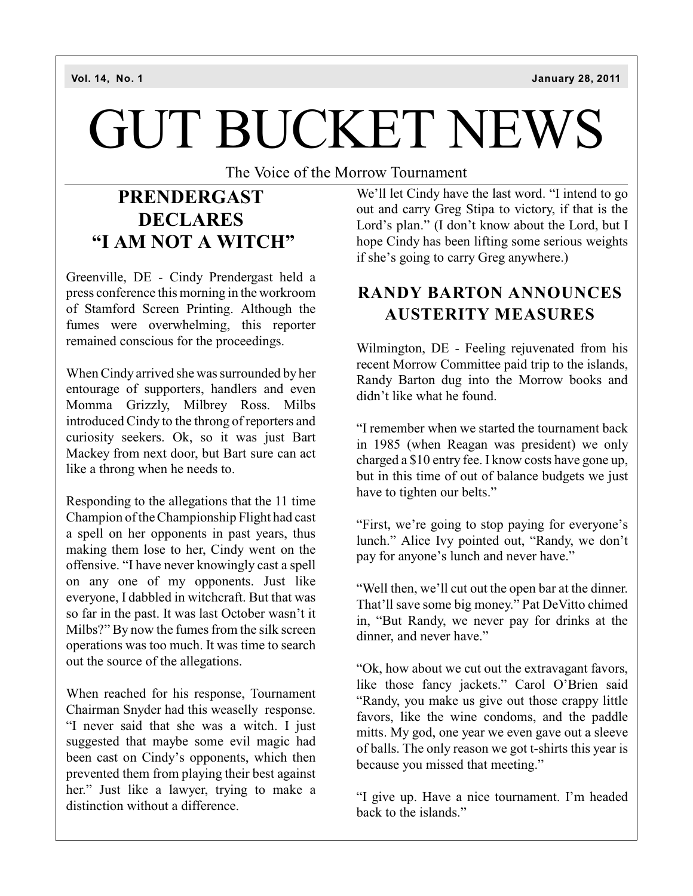# GUT BUCKET NEWS

The Voice of the Morrow Tournament

# **PRENDERGAST DECLARES "I AM NOT A WITCH"**

Greenville, DE - Cindy Prendergast held a press conference this morning in the workroom of Stamford Screen Printing. Although the fumes were overwhelming, this reporter remained conscious for the proceedings.

When Cindy arrived she was surrounded by her entourage of supporters, handlers and even Momma Grizzly, Milbrey Ross. Milbs introduced Cindy to the throng of reporters and curiosity seekers. Ok, so it was just Bart Mackey from next door, but Bart sure can act like a throng when he needs to.

Responding to the allegations that the 11 time Champion of the Championship Flight had cast a spell on her opponents in past years, thus making them lose to her, Cindy went on the offensive. "I have never knowingly cast a spell on any one of my opponents. Just like everyone, I dabbled in witchcraft. But that was so far in the past. It was last October wasn't it Milbs?" By now the fumes from the silk screen operations was too much. It was time to search out the source of the allegations.

When reached for his response, Tournament Chairman Snyder had this weaselly response. "I never said that she was a witch. I just suggested that maybe some evil magic had been cast on Cindy's opponents, which then prevented them from playing their best against her." Just like a lawyer, trying to make a distinction without a difference.

We'll let Cindy have the last word. "I intend to go out and carry Greg Stipa to victory, if that is the Lord's plan." (I don't know about the Lord, but I hope Cindy has been lifting some serious weights if she's going to carry Greg anywhere.)

## **RANDY BARTON ANNOUNCES AUSTERITY MEASURES**

Wilmington, DE - Feeling rejuvenated from his recent Morrow Committee paid trip to the islands, Randy Barton dug into the Morrow books and didn't like what he found.

"I remember when we started the tournament back in 1985 (when Reagan was president) we only charged a \$10 entry fee. I know costs have gone up, but in this time of out of balance budgets we just have to tighten our belts."

"First, we're going to stop paying for everyone's lunch." Alice Ivy pointed out, "Randy, we don't pay for anyone's lunch and never have."

"Well then, we'll cut out the open bar at the dinner. That'll save some big money." Pat DeVitto chimed in, "But Randy, we never pay for drinks at the dinner, and never have."

"Ok, how about we cut out the extravagant favors, like those fancy jackets." Carol O'Brien said "Randy, you make us give out those crappy little favors, like the wine condoms, and the paddle mitts. My god, one year we even gave out a sleeve of balls. The only reason we got t-shirts this year is because you missed that meeting."

"I give up. Have a nice tournament. I'm headed back to the islands."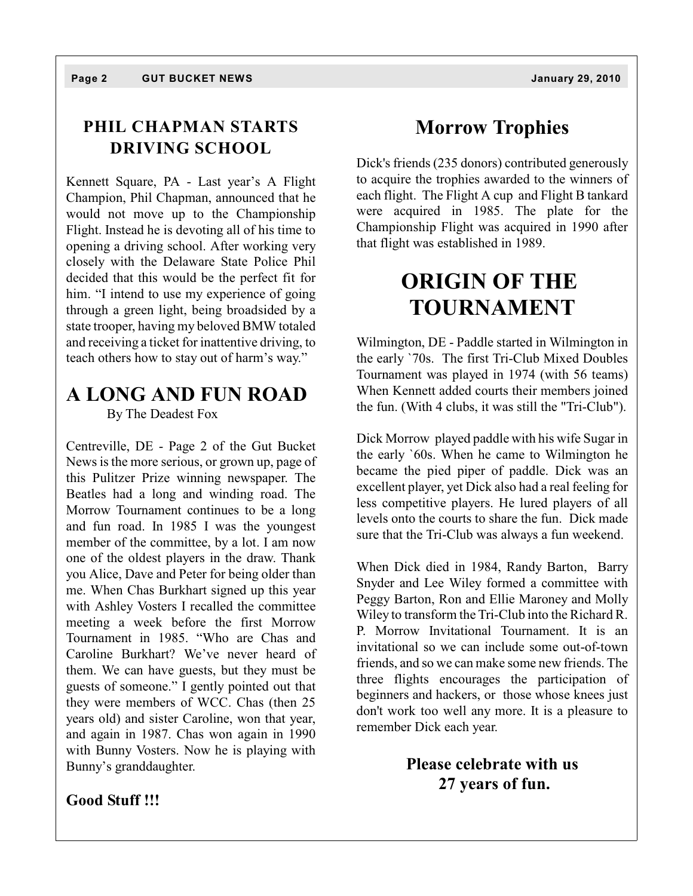#### **PHIL CHAPMAN STARTS DRIVING SCHOOL**

Kennett Square, PA - Last year's A Flight Champion, Phil Chapman, announced that he would not move up to the Championship Flight. Instead he is devoting all of his time to opening a driving school. After working very closely with the Delaware State Police Phil decided that this would be the perfect fit for him. "I intend to use my experience of going through a green light, being broadsided by a state trooper, having my beloved BMW totaled and receiving a ticket for inattentive driving, to teach others how to stay out of harm's way."

## **A LONG AND FUN ROAD**

By The Deadest Fox

Centreville, DE - Page 2 of the Gut Bucket News is the more serious, or grown up, page of this Pulitzer Prize winning newspaper. The Beatles had a long and winding road. The Morrow Tournament continues to be a long and fun road. In 1985 I was the youngest member of the committee, by a lot. I am now one of the oldest players in the draw. Thank you Alice, Dave and Peter for being older than me. When Chas Burkhart signed up this year with Ashley Vosters I recalled the committee meeting a week before the first Morrow Tournament in 1985. "Who are Chas and Caroline Burkhart? We've never heard of them. We can have guests, but they must be guests of someone." I gently pointed out that they were members of WCC. Chas (then 25 years old) and sister Caroline, won that year, and again in 1987. Chas won again in 1990 with Bunny Vosters. Now he is playing with Bunny's granddaughter.

**Good Stuff !!!**

# **Morrow Trophies**

Dick's friends (235 donors) contributed generously to acquire the trophies awarded to the winners of each flight. The Flight A cup and Flight B tankard were acquired in 1985. The plate for the Championship Flight was acquired in 1990 after that flight was established in 1989.

# **ORIGIN OF THE TOURNAMENT**

Wilmington, DE - Paddle started in Wilmington in the early `70s. The first Tri-Club Mixed Doubles Tournament was played in 1974 (with 56 teams) When Kennett added courts their members joined the fun. (With 4 clubs, it was still the "Tri-Club").

Dick Morrow played paddle with his wife Sugar in the early `60s. When he came to Wilmington he became the pied piper of paddle. Dick was an excellent player, yet Dick also had a real feeling for less competitive players. He lured players of all levels onto the courts to share the fun. Dick made sure that the Tri-Club was always a fun weekend.

When Dick died in 1984, Randy Barton, Barry Snyder and Lee Wiley formed a committee with Peggy Barton, Ron and Ellie Maroney and Molly Wiley to transform the Tri-Club into the Richard R. P. Morrow Invitational Tournament. It is an invitational so we can include some out-of-town friends, and so we can make some new friends. The three flights encourages the participation of beginners and hackers, or those whose knees just don't work too well any more. It is a pleasure to remember Dick each year.

> **Please celebrate with us 27 years of fun.**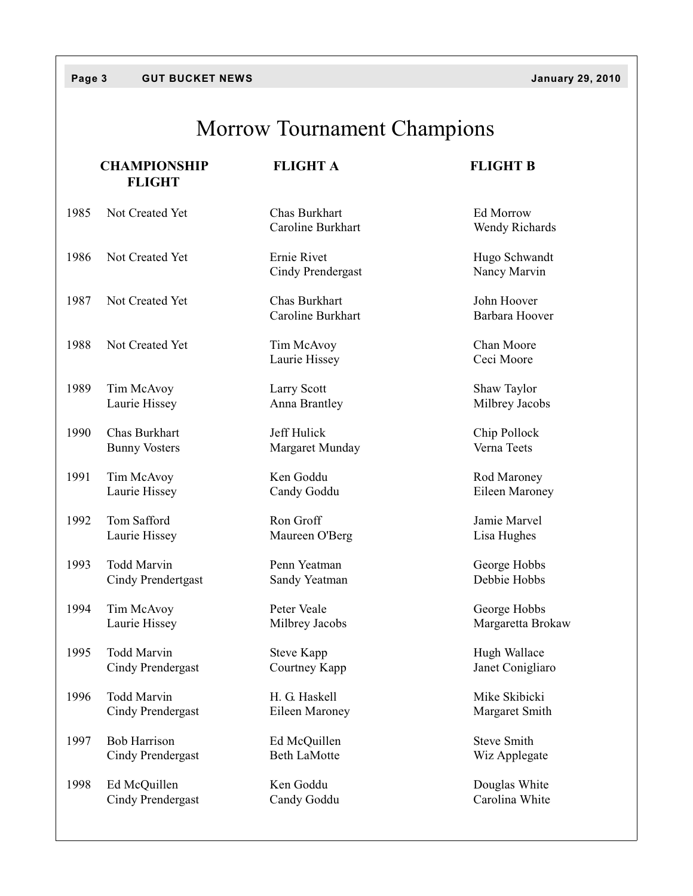#### **Page 3 GUT BUCKET NEWS January 29, 2010**

# Morrow Tournament Champions

|      | <b>CHAMPIONSHIP</b><br><b>FLIGHT</b> | <b>FLIGHT A</b>                    | <b>FLIGHT B</b>               |
|------|--------------------------------------|------------------------------------|-------------------------------|
| 1985 | Not Created Yet                      | Chas Burkhart<br>Caroline Burkhart | Ed Morrow<br>Wendy Richards   |
| 1986 | Not Created Yet                      | Ernie Rivet<br>Cindy Prendergast   | Hugo Schwandt<br>Nancy Marvin |
| 1987 | Not Created Yet                      | Chas Burkhart<br>Caroline Burkhart | John Hoover<br>Barbara Hoover |
| 1988 | Not Created Yet                      | Tim McAvoy<br>Laurie Hissey        | Chan Moore<br>Ceci Moore      |
| 1989 | Tim McAvoy                           | Larry Scott                        | Shaw Taylor                   |
|      | Laurie Hissey                        | Anna Brantley                      | Milbrey Jacobs                |
| 1990 | Chas Burkhart                        | Jeff Hulick                        | Chip Pollock                  |
|      | <b>Bunny Vosters</b>                 | Margaret Munday                    | Verna Teets                   |
| 1991 | Tim McAvoy                           | Ken Goddu                          | Rod Maroney                   |
|      | Laurie Hissey                        | Candy Goddu                        | Eileen Maroney                |
| 1992 | Tom Safford                          | Ron Groff                          | Jamie Marvel                  |
|      | Laurie Hissey                        | Maureen O'Berg                     | Lisa Hughes                   |
| 1993 | <b>Todd Marvin</b>                   | Penn Yeatman                       | George Hobbs                  |
|      | Cindy Prendertgast                   | Sandy Yeatman                      | Debbie Hobbs                  |
| 1994 | Tim McAvoy                           | Peter Veale                        | George Hobbs                  |
|      | Laurie Hissey                        | Milbrey Jacobs                     | Margaretta Brokaw             |
| 1995 | <b>Todd Marvin</b>                   | <b>Steve Kapp</b>                  | Hugh Wallace                  |
|      | Cindy Prendergast                    | Courtney Kapp                      | Janet Conigliaro              |
| 1996 | Todd Marvin                          | H. G. Haskell                      | Mike Skibicki                 |
|      | Cindy Prendergast                    | Eileen Maroney                     | Margaret Smith                |
| 1997 | <b>Bob Harrison</b>                  | Ed McQuillen                       | <b>Steve Smith</b>            |
|      | Cindy Prendergast                    | <b>Beth LaMotte</b>                | Wiz Applegate                 |
| 1998 | Ed McQuillen                         | Ken Goddu                          | Douglas White                 |
|      | Cindy Prendergast                    | Candy Goddu                        | Carolina White                |